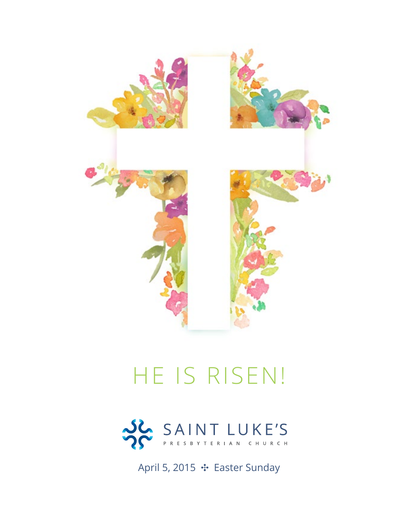

# HE IS RISEN!



April 5, 2015 ✣ Easter Sunday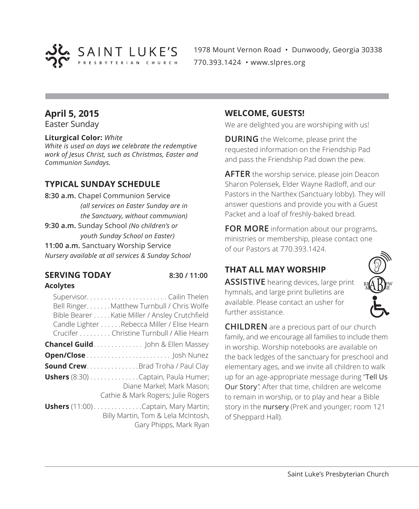

1978 Mount Vernon Road • Dunwoody, Georgia 30338 770.393.1424 • www.slpres.org

# **April 5, 2015**

Easter Sunday

#### **Liturgical Color:** *White*

*White is used on days we celebrate the redemptive work of Jesus Christ, such as Christmas, Easter and Communion Sundays.*

# **TYPICAL SUNDAY SCHEDULE**

**8:30 a.m.** Chapel Communion Service *(all services on Easter Sunday are in the Sanctuary, without communion)* **9:30 a.m.** Sunday School *(No children's or youth Sunday School on Easter)* **11:00 a.m.** Sanctuary Worship Service *Nursery available at all services & Sunday School*

#### **SERVING TODAY 8:30 / 11:00 Acolytes**

| Bell Ringer. Matthew Turnbull / Chris Wolfe<br>Bible Bearer Katie Miller / Ansley Crutchfield<br>Candle Lighter Rebecca Miller / Elise Hearn<br>Crucifer Christine Turnbull / Allie Hearn |
|-------------------------------------------------------------------------------------------------------------------------------------------------------------------------------------------|
| <b>Chancel Guild</b> John & Ellen Massey                                                                                                                                                  |
|                                                                                                                                                                                           |
| <b>Sound Crew</b> .Brad Troha / Paul Clay                                                                                                                                                 |
| <b>Ushers</b> (8:30) Captain, Paula Humer;<br>Diane Markel: Mark Mason:<br>Cathie & Mark Rogers; Julie Rogers                                                                             |
| <b>Ushers</b> (11:00) Captain, Mary Martin;<br>Billy Martin, Tom & Lela McIntosh,<br>Gary Phipps, Mark Ryan                                                                               |

#### **WELCOME, GUESTS!**

We are delighted you are worshiping with us!

**DURING** the Welcome, please print the requested information on the Friendship Pad and pass the Friendship Pad down the pew.

**AFTER** the worship service, please join Deacon Sharon Polensek, Elder Wayne Radloff, and our Pastors in the Narthex (Sanctuary lobby). They will answer questions and provide you with a Guest Packet and a loaf of freshly-baked bread.

**FOR MORE** information about our programs, ministries or membership, please contact one of our Pastors at 770.393.1424.

# **THAT ALL MAY WORSHIP**

**ASSISTIVE** hearing devices, large print hymnals, and large print bulletins are available. Please contact an usher for further assistance.



**CHILDREN** are a precious part of our church family, and we encourage all families to include them in worship. Worship notebooks are available on the back ledges of the sanctuary for preschool and elementary ages, and we invite all children to walk up for an age-appropriate message during "Tell Us Our Story". After that time, children are welcome to remain in worship, or to play and hear a Bible story in the nursery (PreK and younger; room 121 of Sheppard Hall).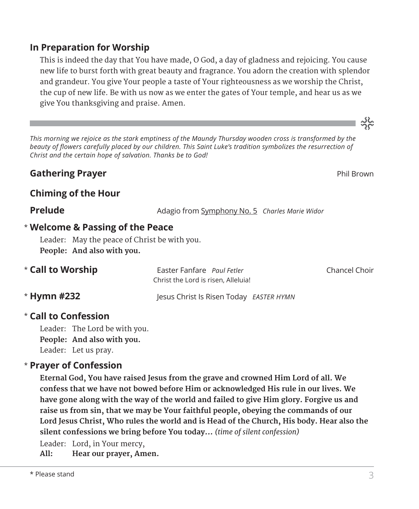# $\star$  Please stand 3

# **In Preparation for Worship**

 This is indeed the day that You have made, O God, a day of gladness and rejoicing. You cause new life to burst forth with great beauty and fragrance. You adorn the creation with splendor and grandeur. You give Your people a taste of Your righteousness as we worship the Christ, the cup of new life. Be with us now as we enter the gates of Your temple, and hear us as we give You thanksgiving and praise. Amen.

*This morning we rejoice as the stark emptiness of the Maundy Thursday wooden cross is transformed by the*  beauty of flowers carefully placed by our children. This Saint Luke's tradition symbolizes the resurrection of *Christ and the certain hope of salvation. Thanks be to God!*

# **Gathering Prayer Property Controllering Prayer Phil Brown**

# **Chiming of the Hour**

**Prelude** Adagio from Symphony No. 5 *Charles Marie Widor* 

# **Welcome & Passing of the Peace** \*

Leader: May the peace of Christ be with you. **People: And also with you.**

| * Call to Worship | Easter Fanfare Paul Fetler<br>Christ the Lord is risen. Alleluia! |  |
|-------------------|-------------------------------------------------------------------|--|
| * Hymn #232       | lesus Christ Is Risen Today EASTER HYMN                           |  |

# **Call to Confession**  \*

Leader: The Lord be with you. **People: And also with you.** Leader: Let us pray.

# **Prayer of Confession**  \*

 **Eternal God, You have raised Jesus from the grave and crowned Him Lord of all. We confess that we have not bowed before Him or acknowledged His rule in our lives. We have gone along with the way of the world and failed to give Him glory. Forgive us and raise us from sin, that we may be Your faithful people, obeying the commands of our Lord Jesus Christ, Who rules the world and is Head of the Church, His body. Hear also the silent confessions we bring before You today...** *(time of silent confession)*

Leader: Lord, in Your mercy,

**All: Hear our prayer, Amen.**

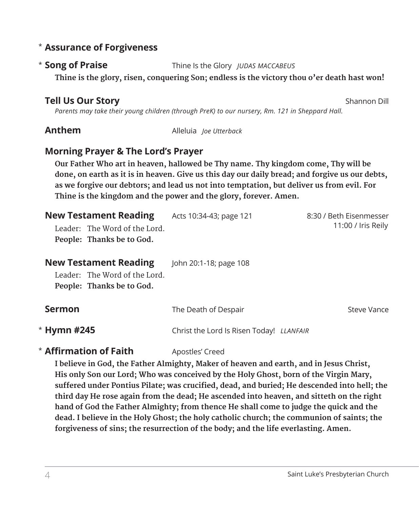# **Assurance of Forgiveness** \*

### \* Song of Praise

**Song of Praise** Thine Is the Glory *JUDAS MACCABEUS*

**Thine is the glory, risen, conquering Son; endless is the victory thou o'er death hast won!**

# **Tell Us Our Story** Shannon Dill

 *Parents may take their young children (through PreK) to our nursery, Rm. 121 in Sheppard Hall.* 

**Anthem** Alleluia *Ioe Utterback* 

# **Morning Prayer & The Lord's Prayer**

 **Our Father Who art in heaven, hallowed be Thy name. Thy kingdom come, Thy will be done, on earth as it is in heaven. Give us this day our daily bread; and forgive us our debts, as we forgive our debtors; and lead us not into temptation, but deliver us from evil. For Thine is the kingdom and the power and the glory, forever. Amen.**

| <b>New Testament Reading</b><br>Leader: The Word of the Lord.<br>People: Thanks be to God. | Acts 10:34-43; page 121                  | 8:30 / Beth Eisenmesser<br>11:00 / Iris Reily |
|--------------------------------------------------------------------------------------------|------------------------------------------|-----------------------------------------------|
| <b>New Testament Reading</b><br>Leader: The Word of the Lord.<br>People: Thanks be to God. | John 20:1-18; page 108                   |                                               |
| <b>Sermon</b>                                                                              | The Death of Despair                     | Steve Vance                                   |
| $*$ Hymn #245                                                                              | Christ the Lord Is Risen Today! LLANFAIR |                                               |

# **\* Affirmation of Faith** Apostles' Creed

 **I believe in God, the Father Almighty, Maker of heaven and earth, and in Jesus Christ, His only Son our Lord; Who was conceived by the Holy Ghost, born of the Virgin Mary, suffered under Pontius Pilate; was crucified, dead, and buried; He descended into hell; the third day He rose again from the dead; He ascended into heaven, and sitteth on the right hand of God the Father Almighty; from thence He shall come to judge the quick and the dead. I believe in the Holy Ghost; the holy catholic church; the communion of saints; the forgiveness of sins; the resurrection of the body; and the life everlasting. Amen.**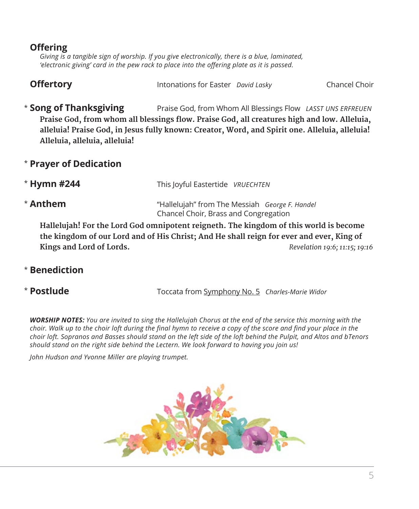# **Offering**

 *Giving is a tangible sign of worship. If you give electronically, there is a blue, laminated, 'electronic giving' card in the pew rack to place into the offering plate as it is passed.* 

| <b>Offertory</b> | Intonations for Easter David Lasky | Chancel Choir |
|------------------|------------------------------------|---------------|
|------------------|------------------------------------|---------------|

\* Song of Thanksgiving **Song of Thanksgiving** Praise God, from Whom All Blessings Flow *LASST UNS ERFREUEN* **Praise God, from whom all blessings flow. Praise God, all creatures high and low. Alleluia, alleluia! Praise God, in Jesus fully known: Creator, Word, and Spirit one. Alleluia, alleluia! Alleluia, alleluia, alleluia!**

# \* **Prayer of Dedication**

- \* Hymn #244 **Hymn #244** This Joyful Eastertide *VRUECHTEN*
- \* Anthem **Anthem** "Hallelujah" from The Messiah *George F. Handel* Chancel Choir, Brass and Congregation

 **Hallelujah! For the Lord God omnipotent reigneth. The kingdom of this world is become the kingdom of our Lord and of His Christ; And He shall reign for ever and ever, King of Kings and Lord of Lords.** *Revelation 19:6; 11:15; 19:16*

# \* **Benediction**

\* Postlude

**Postlude** Toccata from Symphony No. 5 *Charles-Marie Widor*

*WORSHIP NOTES: You are invited to sing the Hallelujah Chorus at the end of the service this morning with the choir. Walk up to the choir loft during the final hymn to receive a copy of the score and find your place in the choir loft. Sopranos and Basses should stand on the left side of the loft behind the Pulpit, and Altos and bTenors should stand on the right side behind the Lectern. We look forward to having you join us!*

*John Hudson and Yvonne Miller are playing trumpet.*

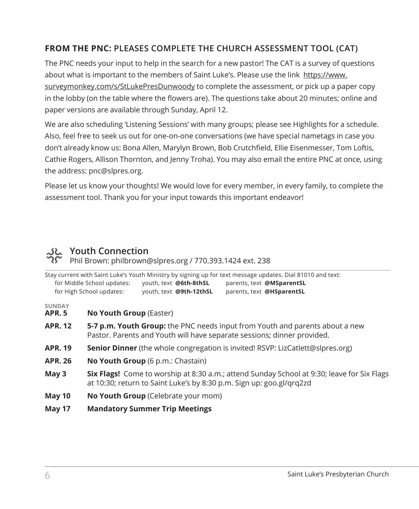# **FROM THE PNC: PLEASES COMPLETE THE CHURCH ASSESSMENT TOOL (CAT)**

The PNC needs your input to help in the search for a new pastor! The CAT is a survey of questions about what is important to the members of Saint Luke's. Please use the link https://www. surveymonkey.com/s/StLukePresDunwoody to complete the assessment, or pick up a paper copy in the lobby (on the table where the flowers are). The questions take about 20 minutes; online and paper versions are available through Sunday, April 12.

We are also scheduling 'Listening Sessions' with many groups; please see Highlights for a schedule. Also, feel free to seek us out for one-on-one conversations (we have special nametags in case you don't already know us: Bona Allen, Marylyn Brown, Bob Crutchfield, Ellie Eisenmesser, Tom Loftis, Cathie Rogers, Allison Thornton, and Jenny Troha). You may also email the entire PNC at once, using the address: pnc@slpres.org.

Please let us know your thoughts! We would love for every member, in every family, to complete the assessment tool. Thank you for your input towards this important endeavor!

# **Youth Connection**

Phil Brown: philbrown@slpres.org / 770.393.1424 ext. 238

|                                |                                                                                                                                                                           |                                       | Stay current with Saint Luke's Youth Ministry by signing up for text message updates. Dial 81010 and text: |
|--------------------------------|---------------------------------------------------------------------------------------------------------------------------------------------------------------------------|---------------------------------------|------------------------------------------------------------------------------------------------------------|
|                                | for Middle School updates:                                                                                                                                                | youth, text @6th-8thSL                | parents, text @MSparentSL                                                                                  |
|                                | for High School updates:                                                                                                                                                  | youth, text @9th-12thSL               | parents, text @HSparentSL                                                                                  |
| <b>SUNDAY</b><br><b>APR. 5</b> | <b>No Youth Group (Easter)</b>                                                                                                                                            |                                       |                                                                                                            |
| <b>APR. 12</b>                 | <b>5-7 p.m. Youth Group:</b> the PNC needs input from Youth and parents about a new<br>Pastor. Parents and Youth will have separate sessions; dinner provided.            |                                       |                                                                                                            |
| <b>APR. 19</b>                 | <b>Senior Dinner</b> (the whole congregation is invited! RSVP: LizCatlett@slpres.org)                                                                                     |                                       |                                                                                                            |
| <b>APR. 26</b>                 | <b>No Youth Group</b> (6 p.m.: Chastain)                                                                                                                                  |                                       |                                                                                                            |
| May <sub>3</sub>               | <b>Six Flags!</b> Come to worship at 8:30 a.m.; attend Sunday School at 9:30; leave for Six Flags<br>at 10:30; return to Saint Luke's by 8:30 p.m. Sign up: goo.gl/qrq2zd |                                       |                                                                                                            |
| May 10                         | <b>No Youth Group</b> (Celebrate your mom)                                                                                                                                |                                       |                                                                                                            |
| May 17                         |                                                                                                                                                                           | <b>Mandatory Summer Trip Meetings</b> |                                                                                                            |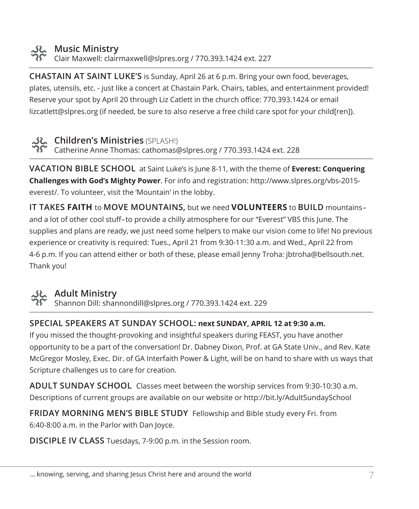

# **Music Ministry**

Clair Maxwell: clairmaxwell@slpres.org / 770.393.1424 ext. 227

**CHASTAIN AT SAINT LUKE'S** is Sunday, April 26 at 6 p.m. Bring your own food, beverages, plates, utensils, etc. - just like a concert at Chastain Park. Chairs, tables, and entertainment provided! Reserve your spot by April 20 through Liz Catlett in the church office: 770.393.1424 or email lizcatlett@slpres.org (if needed, be sure to also reserve a free child care spot for your child[ren]).



**Children's Ministries** (SPLASH!)

Catherine Anne Thomas: cathomas@slpres.org / 770.393.1424 ext. 228

**VACATION BIBLE SCHOOL** at Saint Luke's is June 8-11, with the theme of **Everest: Conquering Challenges with God's Mighty Power**. For info and registration: http://www.slpres.org/vbs-2015 everest/. To volunteer, visit the 'Mountain' in the lobby.

**IT TAKES FAITH** to **MOVE MOUNTAINS,** but we need **VOLUNTEERS** to **BUILD** mountains– and a lot of other cool stuff–to provide a chilly atmosphere for our "Everest" VBS this June. The supplies and plans are ready, we just need some helpers to make our vision come to life! No previous experience or creativity is required: Tues., April 21 from 9:30-11:30 a.m. and Wed., April 22 from 4-6 p.m. If you can attend either or both of these, please email Jenny Troha: jbtroha@bellsouth.net. Thank you!



# **Adult Ministry**

Shannon Dill: shannondill@slpres.org / 770.393.1424 ext. 229

#### **SPECIAL SPEAKERS AT SUNDAY SCHOOL: next SUNDAY, APRIL 12 at 9:30 a.m.**

If you missed the thought-provoking and insightful speakers during FEAST, you have another opportunity to be a part of the conversation! Dr. Dabney Dixon, Prof. at GA State Univ., and Rev. Kate McGregor Mosley, Exec. Dir. of GA Interfaith Power & Light, will be on hand to share with us ways that Scripture challenges us to care for creation.

**ADULT SUNDAY SCHOOL** Classes meet between the worship services from 9:30-10:30 a.m. Descriptions of current groups are available on our website or http://bit.ly/AdultSundaySchool

**FRIDAY MORNING MEN'S BIBLE STUDY** Fellowship and Bible study every Fri. from 6:40-8:00 a.m. in the Parlor with Dan Joyce.

**DISCIPLE IV CLASS** Tuesdays, 7-9:00 p.m. in the Session room.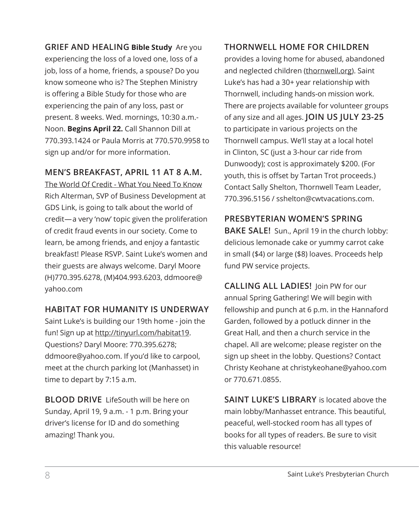**GRIEF AND HEALING Bible Study** Are you experiencing the loss of a loved one, loss of a job, loss of a home, friends, a spouse? Do you know someone who is? The Stephen Ministry is offering a Bible Study for those who are experiencing the pain of any loss, past or present. 8 weeks. Wed. mornings, 10:30 a.m.- Noon. **Begins April 22.** Call Shannon Dill at 770.393.1424 or Paula Morris at 770.570.9958 to sign up and/or for more information.

# **MEN'S BREAKFAST, APRIL 11 AT 8 A.M.**

The World Of Credit - What You Need To Know Rich Alterman, SVP of Business Development at GDS Link, is going to talk about the world of credit—a very 'now' topic given the proliferation of credit fraud events in our society. Come to learn, be among friends, and enjoy a fantastic breakfast! Please RSVP. Saint Luke's women and their guests are always welcome. Daryl Moore (H)770.395.6278, (M)404.993.6203, ddmoore@ yahoo.com

# **HABITAT FOR HUMANITY IS UNDERWAY**

Saint Luke's is building our 19th home - join the fun! Sign up at http://tinyurl.com/habitat19. Questions? Daryl Moore: 770.395.6278; ddmoore@yahoo.com. If you'd like to carpool, meet at the church parking lot (Manhasset) in time to depart by 7:15 a.m.

**BLOOD DRIVE** LifeSouth will be here on Sunday, April 19, 9 a.m. - 1 p.m. Bring your driver's license for ID and do something amazing! Thank you.

# **THORNWELL HOME FOR CHILDREN**

provides a loving home for abused, abandoned and neglected children (thornwell.org). Saint Luke's has had a 30+ year relationship with Thornwell, including hands-on mission work. There are projects available for volunteer groups of any size and all ages. **JOIN US JULY 23-25** to participate in various projects on the Thornwell campus. We'll stay at a local hotel in Clinton, SC (just a 3-hour car ride from Dunwoody); cost is approximately \$200. (For youth, this is offset by Tartan Trot proceeds.) Contact Sally Shelton, Thornwell Team Leader, 770.396.5156 / sshelton@cwtvacations.com.

#### **PRESBYTERIAN WOMEN'S SPRING**

**BAKE SALE!** Sun., April 19 in the church lobby: delicious lemonade cake or yummy carrot cake in small (\$4) or large (\$8) loaves. Proceeds help fund PW service projects.

**CALLING ALL LADIES!** Join PW for our annual Spring Gathering! We will begin with fellowship and punch at 6 p.m. in the Hannaford Garden, followed by a potluck dinner in the Great Hall, and then a church service in the chapel. All are welcome; please register on the sign up sheet in the lobby. Questions? Contact Christy Keohane at christykeohane@yahoo.com or 770.671.0855.

**SAINT LUKE'S LIBRARY** is located above the main lobby/Manhasset entrance. This beautiful, peaceful, well-stocked room has all types of books for all types of readers. Be sure to visit this valuable resource!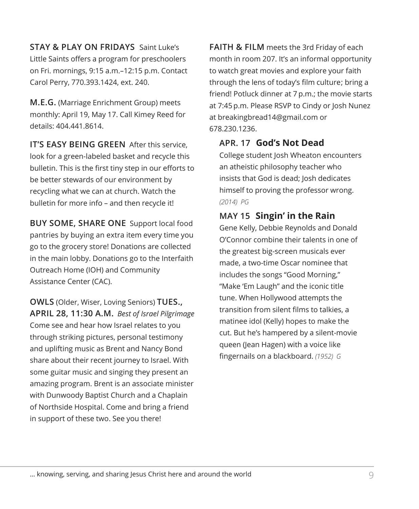**STAY & PLAY ON FRIDAYS** Saint Luke's Little Saints offers a program for preschoolers on Fri. mornings, 9:15 a.m.–12:15 p.m. Contact Carol Perry, 770.393.1424, ext. 240.

**M.E.G.** (Marriage Enrichment Group) meets monthly: April 19, May 17. Call Kimey Reed for details: 404.441.8614.

**IT'S EASY BEING GREEN** After this service, look for a green-labeled basket and recycle this bulletin. This is the first tiny step in our efforts to be better stewards of our environment by recycling what we can at church. Watch the bulletin for more info – and then recycle it!

**BUY SOME, SHARE ONE** Support local food pantries by buying an extra item every time you go to the grocery store! Donations are collected in the main lobby. Donations go to the Interfaith Outreach Home (IOH) and Community Assistance Center (CAC).

**OWLS** (Older, Wiser, Loving Seniors) **TUES., APRIL 28, 11:30 A.M.** *Best of Israel Pilgrimage* Come see and hear how Israel relates to you through striking pictures, personal testimony and uplifting music as Brent and Nancy Bond share about their recent journey to Israel. With some guitar music and singing they present an amazing program. Brent is an associate minister with Dunwoody Baptist Church and a Chaplain of Northside Hospital. Come and bring a friend in support of these two. See you there!

**FAITH & FILM** meets the 3rd Friday of each month in room 207. It's an informal opportunity to watch great movies and explore your faith through the lens of today's film culture; bring a friend! Potluck dinner at 7 p.m.; the movie starts at 7:45 p.m. Please RSVP to Cindy or Josh Nunez at breakingbread14@gmail.com or 678.230.1236.

# **APR. 17 God's Not Dead**

 College student Josh Wheaton encounters an atheistic philosophy teacher who insists that God is dead; Josh dedicates himself to proving the professor wrong. *(2014) PG*

# **MAY 15 Singin' in the Rain**

 Gene Kelly, Debbie Reynolds and Donald O'Connor combine their talents in one of the greatest big-screen musicals ever made, a two-time Oscar nominee that includes the songs "Good Morning," "Make 'Em Laugh" and the iconic title tune. When Hollywood attempts the transition from silent films to talkies, a matinee idol (Kelly) hopes to make the cut. But he's hampered by a silent-movie queen (Jean Hagen) with a voice like fingernails on a blackboard. *(1952) G*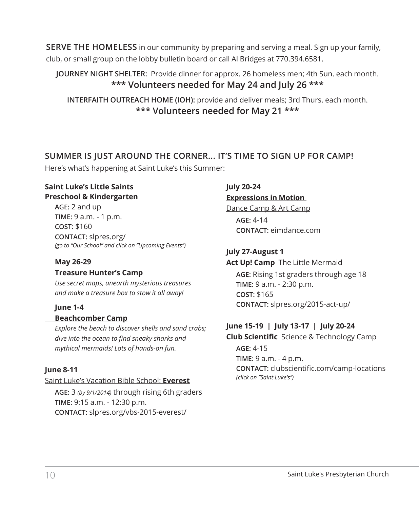**SERVE THE HOMELESS** in our community by preparing and serving a meal. Sign up your family, club, or small group on the lobby bulletin board or call Al Bridges at 770.394.6581.

# **JOURNEY NIGHT SHELTER:** Provide dinner for approx. 26 homeless men; 4th Sun. each month. **\*\*\* Volunteers needed for May 24 and July 26 \*\*\***

**INTERFAITH OUTREACH HOME (IOH):** provide and deliver meals; 3rd Thurs. each month. **\*\*\* Volunteers needed for May 21 \*\*\***

# **SUMMER IS JUST AROUND THE CORNER... IT'S TIME TO SIGN UP FOR CAMP!**

Here's what's happening at Saint Luke's this Summer:

#### **Saint Luke's Little Saints Preschool & Kindergarten**

**AGE:** 2 and up **TIME:** 9 a.m. - 1 p.m. **COST:** \$160 **CONTACT:** slpres.org/ *(go to "Our School" and click on "Upcoming Events")*

#### **May 26-29**

#### **Treasure Hunter's Camp**

 *Use secret maps, unearth mysterious treasures and make a treasure box to stow it all away!*

#### **June 1-4**

#### **Beachcomber Camp**

 *Explore the beach to discover shells and sand crabs; dive into the ocean to find sneaky sharks and mythical mermaids! Lots of hands-on fun.*

#### **June 8-11**

#### Saint Luke's Vacation Bible School: **Everest**

**AGE:** 3 *(by 9/1/2014)* through rising 6th graders **TIME:** 9:15 a.m. - 12:30 p.m. **CONTACT:** slpres.org/vbs-2015-everest/

#### **July 20-24**

# **Expressions in Motion**

Dance Camp & Art Camp **AGE:** 4-14 **CONTACT:** eimdance.com

#### **July 27-August 1 Act Up! Camp** The Little Mermaid

**AGE:** Rising 1st graders through age 18 **TIME:** 9 a.m. - 2:30 p.m. **COST:** \$165 **CONTACT:** slpres.org/2015-act-up/

# **June 15-19 | July 13-17 | July 20-24**

**Club Scientific** Science & Technology Camp

**AGE:** 4-15 **TIME:** 9 a.m. - 4 p.m. **CONTACT:** clubscientific.com/camp-locations *(click on "Saint Luke's")*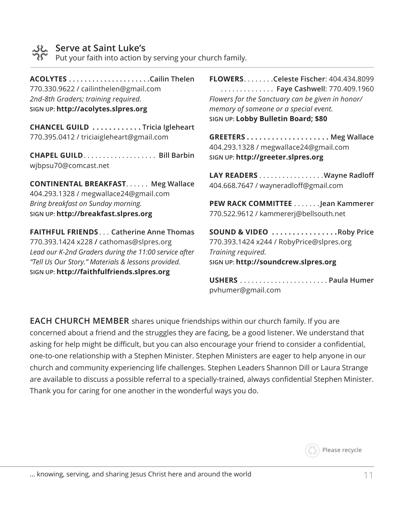

#### **Serve at Saint Luke's**

Put your faith into action by serving your church family.

**ACOLYTES. Cailin Thelen** 770.330.9622 / cailinthelen@gmail.com *2nd-8th Graders; training required.* **SIGN UP: http://acolytes.slpres.org**

**CHANCEL GUILD . . . . . . . . . . . Tricia Igleheart** 770.395.0412 / triciaigleheart@gmail.com

**CHAPEL GUILD. . . . . . . . . . . . . . . . . . Bill Barbin** wjbpsu70@comcast.net

**CONTINENTAL BREAKFAST...... Meg Wallace** 404.293.1328 / megwallace24@gmail.com *Bring breakfast on Sunday morning.* **SIGN UP: http://breakfast.slpres.org**

**FAITHFUL FRIENDS**. . **Catherine Anne Thomas** 770.393.1424 x228 **/** cathomas@slpres.org *Lead our K-2nd Graders during the 11:00 service after "Tell Us Our Story." Materials & lessons provided.* **SIGN UP: http://faithfulfriends.slpres.org**

**FLOWERS**. **Celeste Fischer**: 404.434.8099 . . **Faye Cashwell**: 770.409.1960 *Flowers for the Sanctuary can be given in honor/ memory of someone or a special event.* **SIGN UP: Lobby Bulletin Board; \$80**

**GREETERS . . . . . . . . . . . . . . . . . . . . Meg Wallace** 404.293.1328 / megwallace24@gmail.com **SIGN UP: http://greeter.slpres.org**

LAY READERS . . . . . . . . . . . . . . . . . Wayne Radloff 404.668.7647 / wayneradloff@gmail.com

**PEW RACK COMMITTEE**. **Jean Kammerer** 770.522.9612 / kammererj@bellsouth.net

**SOUND & VIDEO . . . . . . . . . . . . . . . Roby Price** 770.393.1424 x244 / RobyPrice@slpres.org *Training required.* **SIGN UP: http://soundcrew.slpres.org**

**USHERS**. **Paula Humer** pvhumer@gmail.com

**EACH CHURCH MEMBER** shares unique friendships within our church family. If you are concerned about a friend and the struggles they are facing, be a good listener. We understand that asking for help might be difficult, but you can also encourage your friend to consider a confidential, one-to-one relationship with a Stephen Minister. Stephen Ministers are eager to help anyone in our church and community experiencing life challenges. Stephen Leaders Shannon Dill or Laura Strange are available to discuss a possible referral to a specially-trained, always confidential Stephen Minister. Thank you for caring for one another in the wonderful ways you do.